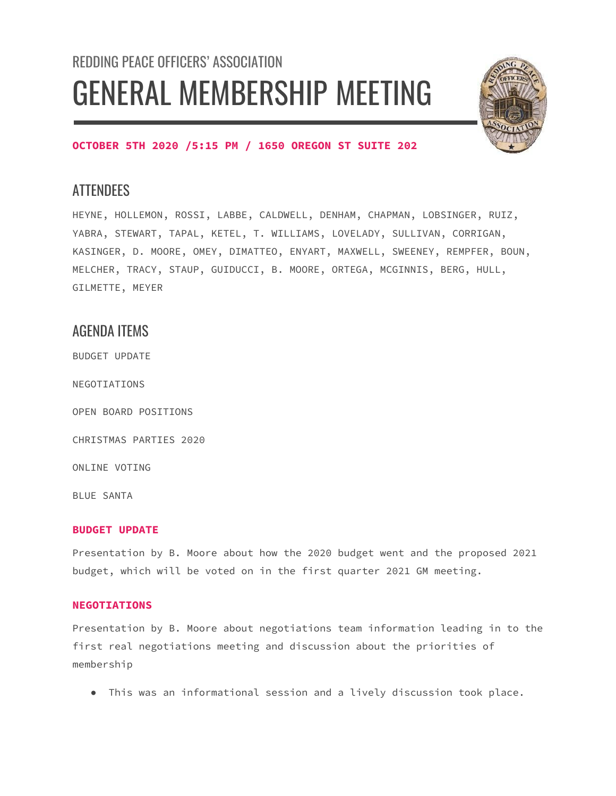# REDDING PEACE OFFICERS' ASSOCIATION GENERAL MEMBERSHIP MEETING



## **OCTOBER 5TH 2020 /5:15 PM / 1650 OREGON ST SUITE 202**

# **ATTENDEES**

HEYNE, HOLLEMON, ROSSI, LABBE, CALDWELL, DENHAM, CHAPMAN, LOBSINGER, RUIZ, YABRA, STEWART, TAPAL, KETEL, T. WILLIAMS, LOVELADY, SULLIVAN, CORRIGAN, KASINGER, D. MOORE, OMEY, DIMATTEO, ENYART, MAXWELL, SWEENEY, REMPFER, BOUN, MELCHER, TRACY, STAUP, GUIDUCCI, B. MOORE, ORTEGA, MCGINNIS, BERG, HULL, GILMETTE, MEYER

# AGENDA ITEMS

BUDGET UPDATE

NEGOTIATIONS

OPEN BOARD POSITIONS

CHRISTMAS PARTIES 2020

ONLINE VOTING

BLUE SANTA

## **BUDGET UPDATE**

Presentation by B. Moore about how the 2020 budget went and the proposed 2021 budget, which will be voted on in the first quarter 2021 GM meeting.

## **NEGOTIATIONS**

Presentation by B. Moore about negotiations team information leading in to the first real negotiations meeting and discussion about the priorities of membership

● This was an informational session and a lively discussion took place.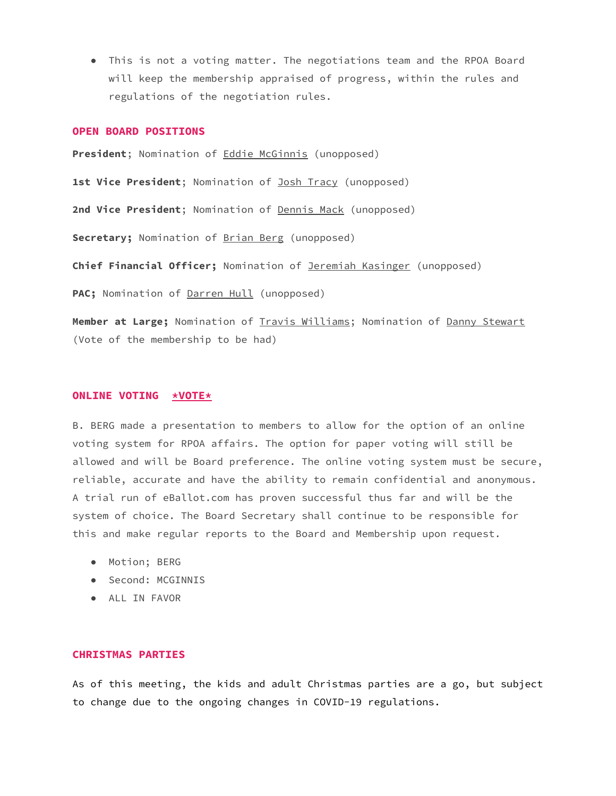● This is not a voting matter. The negotiations team and the RPOA Board will keep the membership appraised of progress, within the rules and regulations of the negotiation rules.

#### **OPEN BOARD POSITIONS**

President; Nomination of **Eddie McGinnis** (unopposed) **1st Vice President**; Nomination of Josh Tracy (unopposed) **2nd Vice President**; Nomination of Dennis Mack (unopposed) Secretary; Nomination of **Brian Berg** (unopposed) **Chief Financial Officer;** Nomination of Jeremiah Kasinger (unopposed) PAC; Nomination of Darren Hull (unopposed) **Member at Large;** Nomination of Travis Williams; Nomination of Danny Stewart

(Vote of the membership to be had)

#### **ONLINE VOTING \*VOTE\***

B. BERG made a presentation to members to allow for the option of an online voting system for RPOA affairs. The option for paper voting will still be allowed and will be Board preference. The online voting system must be secure, reliable, accurate and have the ability to remain confidential and anonymous. A trial run of eBallot.com has proven successful thus far and will be the system of choice. The Board Secretary shall continue to be responsible for this and make regular reports to the Board and Membership upon request.

- Motion; BERG
- Second: MCGINNIS
- ALL IN FAVOR

## **CHRISTMAS PARTIES**

As of this meeting, the kids and adult Christmas parties are a go, but subject to change due to the ongoing changes in COVID-19 regulations.